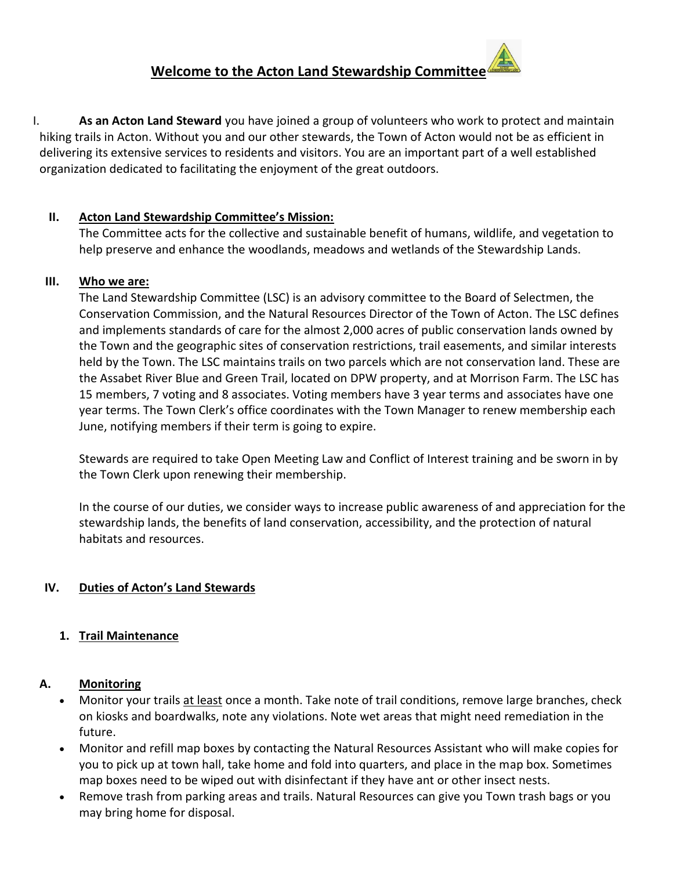# **Welcome to the Acton Land Stewardship Committee**

I. **As an Acton Land Steward** you have joined a group of volunteers who work to protect and maintain hiking trails in Acton. Without you and our other stewards, the Town of Acton would not be as efficient in delivering its extensive services to residents and visitors. You are an important part of a well established organization dedicated to facilitating the enjoyment of the great outdoors.

## **II. Acton Land Stewardship Committee's Mission:**

The Committee acts for the collective and sustainable benefit of humans, wildlife, and vegetation to help preserve and enhance the woodlands, meadows and wetlands of the Stewardship Lands.

## **III. Who we are:**

The Land Stewardship Committee (LSC) is an advisory committee to the Board of Selectmen, the Conservation Commission, and the Natural Resources Director of the Town of Acton. The LSC defines and implements standards of care for the almost 2,000 acres of public conservation lands owned by the Town and the geographic sites of conservation restrictions, trail easements, and similar interests held by the Town. The LSC maintains trails on two parcels which are not conservation land. These are the Assabet River Blue and Green Trail, located on DPW property, and at Morrison Farm. The LSC has 15 members, 7 voting and 8 associates. Voting members have 3 year terms and associates have one year terms. The Town Clerk's office coordinates with the Town Manager to renew membership each June, notifying members if their term is going to expire.

Stewards are required to take Open Meeting Law and Conflict of Interest training and be sworn in by the Town Clerk upon renewing their membership.

In the course of our duties, we consider ways to increase public awareness of and appreciation for the stewardship lands, the benefits of land conservation, accessibility, and the protection of natural habitats and resources.

## **IV. Duties of Acton's Land Stewards**

## **1. Trail Maintenance**

## **A. Monitoring**

- Monitor your trails at least once a month. Take note of trail conditions, remove large branches, check on kiosks and boardwalks, note any violations. Note wet areas that might need remediation in the future.
- Monitor and refill map boxes by contacting the Natural Resources Assistant who will make copies for you to pick up at town hall, take home and fold into quarters, and place in the map box. Sometimes map boxes need to be wiped out with disinfectant if they have ant or other insect nests.
- Remove trash from parking areas and trails. Natural Resources can give you Town trash bags or you may bring home for disposal.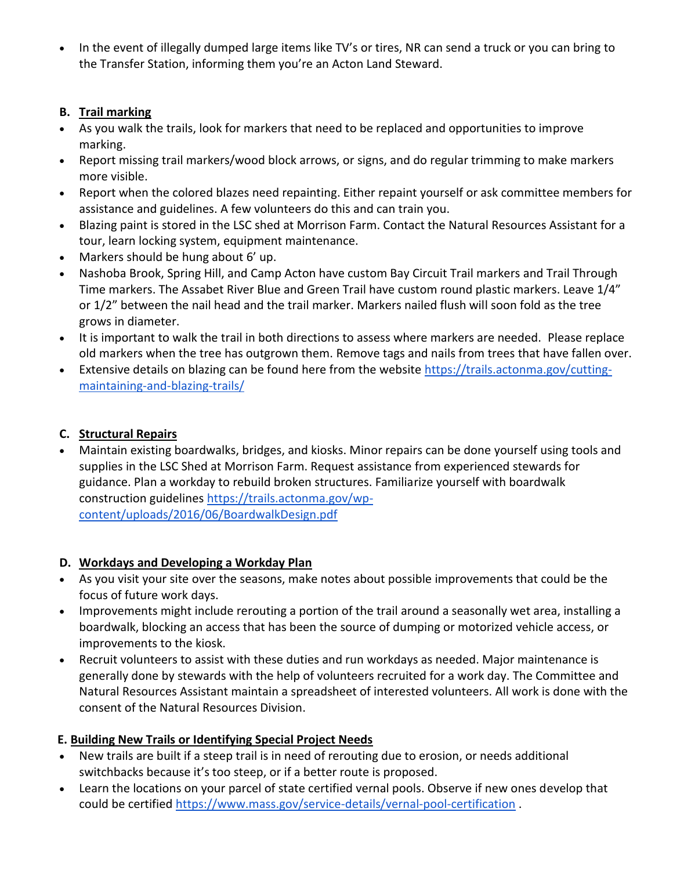• In the event of illegally dumped large items like TV's or tires, NR can send a truck or you can bring to the Transfer Station, informing them you're an Acton Land Steward.

## **B. Trail marking**

- As you walk the trails, look for markers that need to be replaced and opportunities to improve marking.
- Report missing trail markers/wood block arrows, or signs, and do regular trimming to make markers more visible.
- Report when the colored blazes need repainting. Either repaint yourself or ask committee members for assistance and guidelines. A few volunteers do this and can train you.
- Blazing paint is stored in the LSC shed at Morrison Farm. Contact the Natural Resources Assistant for a tour, learn locking system, equipment maintenance.
- Markers should be hung about 6' up.
- Nashoba Brook, Spring Hill, and Camp Acton have custom Bay Circuit Trail markers and Trail Through Time markers. The Assabet River Blue and Green Trail have custom round plastic markers. Leave 1/4" or 1/2" between the nail head and the trail marker. Markers nailed flush will soon fold as the tree grows in diameter.
- It is important to walk the trail in both directions to assess where markers are needed. Please replace old markers when the tree has outgrown them. Remove tags and nails from trees that have fallen over.
- Extensive details on blazing can be found here from the website [https://trails.actonma.gov/cutting](https://trails.actonma.gov/cutting-maintaining-and-blazing-trails/)[maintaining-and-blazing-trails/](https://trails.actonma.gov/cutting-maintaining-and-blazing-trails/)

## **C. Structural Repairs**

 Maintain existing boardwalks, bridges, and kiosks. Minor repairs can be done yourself using tools and supplies in the LSC Shed at Morrison Farm. Request assistance from experienced stewards for guidance. Plan a workday to rebuild broken structures. Familiarize yourself with boardwalk construction guidelines [https://trails.actonma.gov/wp](https://trails.actonma.gov/wp-content/uploads/2016/06/BoardwalkDesign.pdf)[content/uploads/2016/06/BoardwalkDesign.pdf](https://trails.actonma.gov/wp-content/uploads/2016/06/BoardwalkDesign.pdf)

## **D. Workdays and Developing a Workday Plan**

- As you visit your site over the seasons, make notes about possible improvements that could be the focus of future work days.
- Improvements might include rerouting a portion of the trail around a seasonally wet area, installing a boardwalk, blocking an access that has been the source of dumping or motorized vehicle access, or improvements to the kiosk.
- Recruit volunteers to assist with these duties and run workdays as needed. Major maintenance is generally done by stewards with the help of volunteers recruited for a work day. The Committee and Natural Resources Assistant maintain a spreadsheet of interested volunteers. All work is done with the consent of the Natural Resources Division.

## **E. Building New Trails or Identifying Special Project Needs**

- New trails are built if a steep trail is in need of rerouting due to erosion, or needs additional switchbacks because it's too steep, or if a better route is proposed.
- Learn the locations on your parcel of state certified vernal pools. Observe if new ones develop that could be certified<https://www.mass.gov/service-details/vernal-pool-certification> .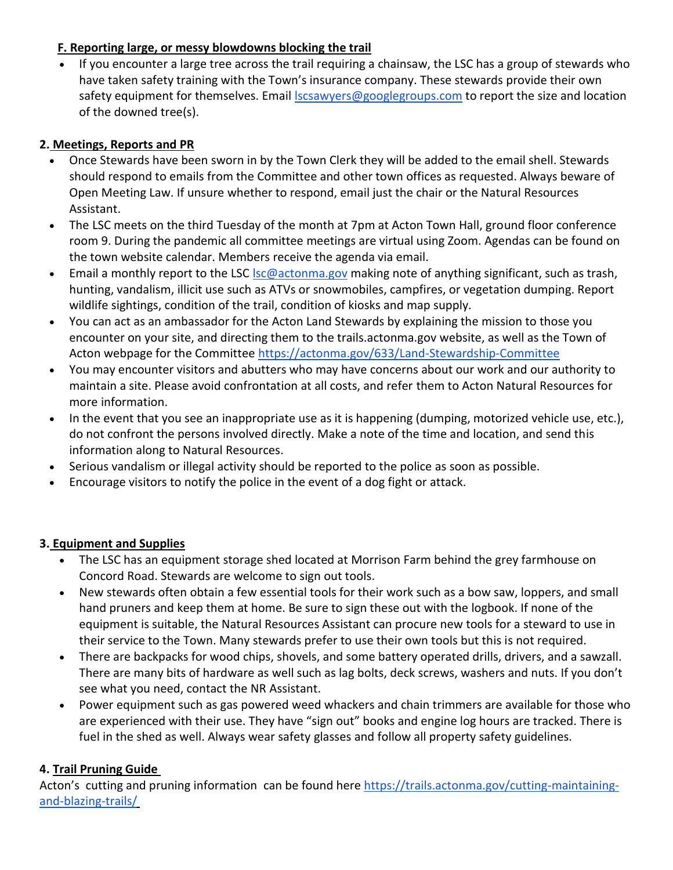## **F. Reporting large, or messy blowdowns blocking the trail**

 If you encounter a large tree across the trail requiring a chainsaw, the LSC has a group of stewards who have taken safety training with the Town's insurance company. These stewards provide their own safety equipment for themselves. Email **Scsawyers@googlegroups.com** to report the size and location of the downed tree(s).

## **2. Meetings, Reports and PR**

- Once Stewards have been sworn in by the Town Clerk they will be added to the email shell. Stewards should respond to emails from the Committee and other town offices as requested. Always beware of Open Meeting Law. If unsure whether to respond, email just the chair or the Natural Resources Assistant.
- The LSC meets on the third Tuesday of the month at 7pm at Acton Town Hall, ground floor conference room 9. During the pandemic all committee meetings are virtual using Zoom. Agendas can be found on the town website calendar. Members receive the agenda via email.
- **Email a monthly report to the LSC** Isc@actonma.gov making note of anything significant, such as trash, hunting, vandalism, illicit use such as ATVs or snowmobiles, campfires, or vegetation dumping. Report wildlife sightings, condition of the trail, condition of kiosks and map supply.
- You can act as an ambassador for the Acton Land Stewards by explaining the mission to those you encounter on your site, and directing them to the trails.actonma.gov website, as well as the Town of Acton webpage for the Committee<https://actonma.gov/633/Land-Stewardship-Committee>
- You may encounter visitors and abutters who may have concerns about our work and our authority to maintain a site. Please avoid confrontation at all costs, and refer them to Acton Natural Resources for more information.
- In the event that you see an inappropriate use as it is happening (dumping, motorized vehicle use, etc.), do not confront the persons involved directly. Make a note of the time and location, and send this information along to Natural Resources.
- Serious vandalism or illegal activity should be reported to the police as soon as possible.
- Encourage visitors to notify the police in the event of a dog fight or attack.

## **3. Equipment and Supplies**

- The LSC has an equipment storage shed located at Morrison Farm behind the grey farmhouse on Concord Road. Stewards are welcome to sign out tools.
- New stewards often obtain a few essential tools for their work such as a bow saw, loppers, and small hand pruners and keep them at home. Be sure to sign these out with the logbook. If none of the equipment is suitable, the Natural Resources Assistant can procure new tools for a steward to use in their service to the Town. Many stewards prefer to use their own tools but this is not required.
- There are backpacks for wood chips, shovels, and some battery operated drills, drivers, and a sawzall. There are many bits of hardware as well such as lag bolts, deck screws, washers and nuts. If you don't see what you need, contact the NR Assistant.
- Power equipment such as gas powered weed whackers and chain trimmers are available for those who are experienced with their use. They have "sign out" books and engine log hours are tracked. There is fuel in the shed as well. Always wear safety glasses and follow all property safety guidelines.

## **4. Trail Pruning Guide**

Acton's cutting and pruning information can be found here [https://trails.actonma.gov/cutting-maintaining](https://trails.actonma.gov/cutting-maintaining-and-blazing-trails/)[and-blazing-trails/](https://trails.actonma.gov/cutting-maintaining-and-blazing-trails/)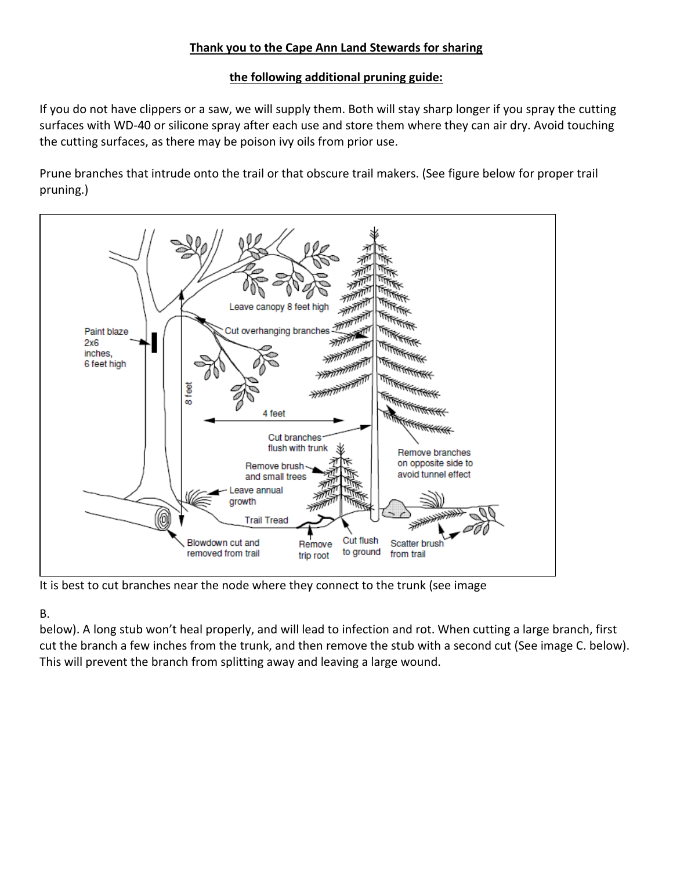## **Thank you to the Cape Ann Land Stewards for sharing**

## **the following additional pruning guide:**

If you do not have clippers or a saw, we will supply them. Both will stay sharp longer if you spray the cutting surfaces with WD-40 or silicone spray after each use and store them where they can air dry. Avoid touching the cutting surfaces, as there may be poison ivy oils from prior use.

Prune branches that intrude onto the trail or that obscure trail makers. (See figure below for proper trail pruning.)



It is best to cut branches near the node where they connect to the trunk (see image

## B.

below). A long stub won't heal properly, and will lead to infection and rot. When cutting a large branch, first cut the branch a few inches from the trunk, and then remove the stub with a second cut (See image C. below). This will prevent the branch from splitting away and leaving a large wound.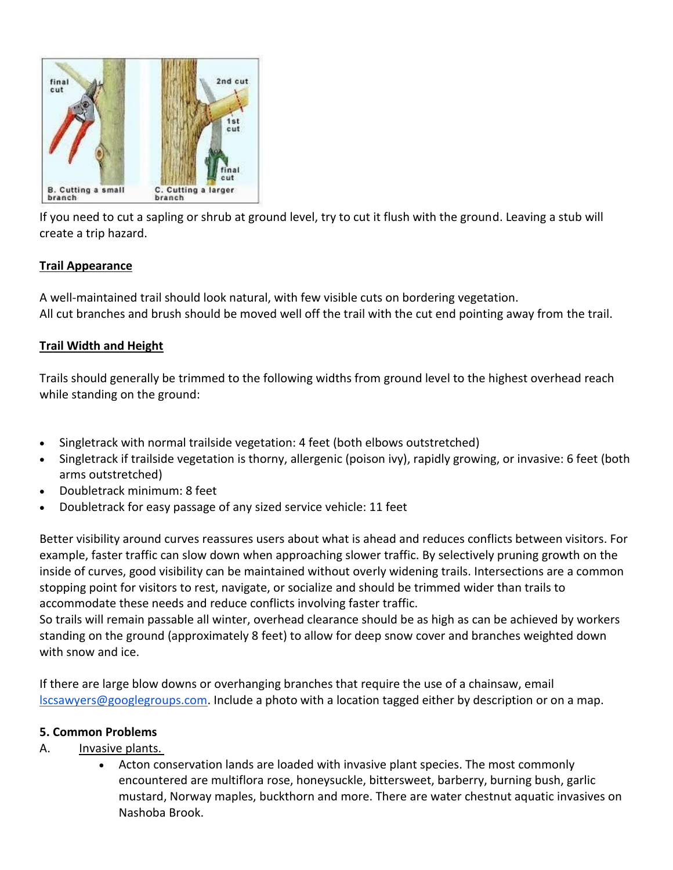

If you need to cut a sapling or shrub at ground level, try to cut it flush with the ground. Leaving a stub will create a trip hazard.

## **Trail Appearance**

A well-maintained trail should look natural, with few visible cuts on bordering vegetation. All cut branches and brush should be moved well off the trail with the cut end pointing away from the trail.

#### **Trail Width and Height**

Trails should generally be trimmed to the following widths from ground level to the highest overhead reach while standing on the ground:

- Singletrack with normal trailside vegetation: 4 feet (both elbows outstretched)
- Singletrack if trailside vegetation is thorny, allergenic (poison ivy), rapidly growing, or invasive: 6 feet (both arms outstretched)
- Doubletrack minimum: 8 feet
- Doubletrack for easy passage of any sized service vehicle: 11 feet

Better visibility around curves reassures users about what is ahead and reduces conflicts between visitors. For example, faster traffic can slow down when approaching slower traffic. By selectively pruning growth on the inside of curves, good visibility can be maintained without overly widening trails. Intersections are a common stopping point for visitors to rest, navigate, or socialize and should be trimmed wider than trails to accommodate these needs and reduce conflicts involving faster traffic.

So trails will remain passable all winter, overhead clearance should be as high as can be achieved by workers standing on the ground (approximately 8 feet) to allow for deep snow cover and branches weighted down with snow and ice.

If there are large blow downs or overhanging branches that require the use of a chainsaw, email [lscsawyers@googlegroups.com.](mailto:lscsawyers@googlegroups.com) Include a photo with a location tagged either by description or on a map.

#### **5. Common Problems**

## A. Invasive plants.

 Acton conservation lands are loaded with invasive plant species. The most commonly encountered are multiflora rose, honeysuckle, bittersweet, barberry, burning bush, garlic mustard, Norway maples, buckthorn and more. There are water chestnut aquatic invasives on Nashoba Brook.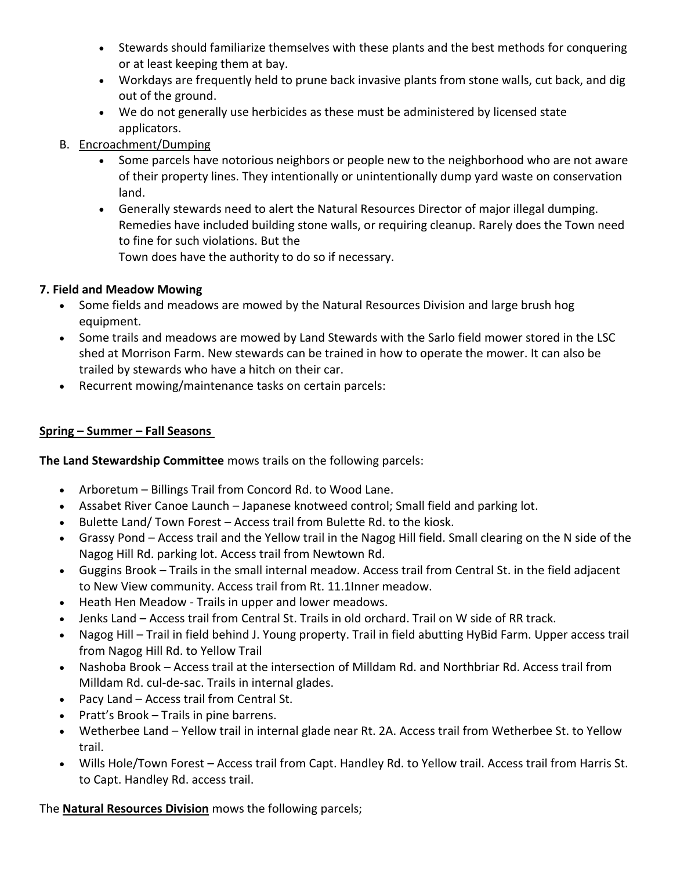- Stewards should familiarize themselves with these plants and the best methods for conquering or at least keeping them at bay.
- Workdays are frequently held to prune back invasive plants from stone walls, cut back, and dig out of the ground.
- We do not generally use herbicides as these must be administered by licensed state applicators.
- B. Encroachment/Dumping
	- Some parcels have notorious neighbors or people new to the neighborhood who are not aware of their property lines. They intentionally or unintentionally dump yard waste on conservation land.
	- Generally stewards need to alert the Natural Resources Director of major illegal dumping. Remedies have included building stone walls, or requiring cleanup. Rarely does the Town need to fine for such violations. But the Town does have the authority to do so if necessary.

# **7. Field and Meadow Mowing**

- Some fields and meadows are mowed by the Natural Resources Division and large brush hog equipment.
- Some trails and meadows are mowed by Land Stewards with the Sarlo field mower stored in the LSC shed at Morrison Farm. New stewards can be trained in how to operate the mower. It can also be trailed by stewards who have a hitch on their car.
- Recurrent mowing/maintenance tasks on certain parcels:

# **Spring – Summer – Fall Seasons**

**The Land Stewardship Committee** mows trails on the following parcels:

- Arboretum Billings Trail from Concord Rd. to Wood Lane.
- Assabet River Canoe Launch Japanese knotweed control; Small field and parking lot.
- Bulette Land/ Town Forest Access trail from Bulette Rd. to the kiosk.
- Grassy Pond Access trail and the Yellow trail in the Nagog Hill field. Small clearing on the N side of the Nagog Hill Rd. parking lot. Access trail from Newtown Rd.
- Guggins Brook Trails in the small internal meadow. Access trail from Central St. in the field adjacent to New View community. Access trail from Rt. 11.1Inner meadow.
- Heath Hen Meadow Trails in upper and lower meadows.
- Jenks Land Access trail from Central St. Trails in old orchard. Trail on W side of RR track.
- Nagog Hill Trail in field behind J. Young property. Trail in field abutting HyBid Farm. Upper access trail from Nagog Hill Rd. to Yellow Trail
- Nashoba Brook Access trail at the intersection of Milldam Rd. and Northbriar Rd. Access trail from Milldam Rd. cul-de-sac. Trails in internal glades.
- Pacy Land Access trail from Central St.
- Pratt's Brook Trails in pine barrens.
- Wetherbee Land Yellow trail in internal glade near Rt. 2A. Access trail from Wetherbee St. to Yellow trail.
- Wills Hole/Town Forest Access trail from Capt. Handley Rd. to Yellow trail. Access trail from Harris St. to Capt. Handley Rd. access trail.

The **Natural Resources Division** mows the following parcels;